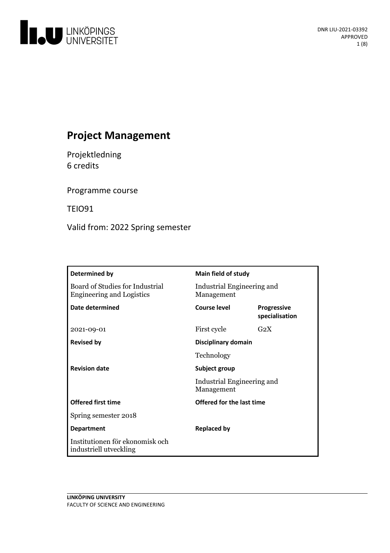

# **Project Management**

Projektledning 6 credits

Programme course

TEIO91

Valid from: 2022 Spring semester

| Determined by                                                       | Main field of study                      |                                      |
|---------------------------------------------------------------------|------------------------------------------|--------------------------------------|
| Board of Studies for Industrial<br><b>Engineering and Logistics</b> | Industrial Engineering and<br>Management |                                      |
| <b>Date determined</b>                                              | Course level                             | <b>Progressive</b><br>specialisation |
| 2021-09-01                                                          | First cycle                              | G <sub>2</sub> X                     |
| <b>Revised by</b>                                                   | Disciplinary domain                      |                                      |
|                                                                     | Technology                               |                                      |
| <b>Revision date</b>                                                | Subject group                            |                                      |
|                                                                     | Industrial Engineering and<br>Management |                                      |
| <b>Offered first time</b>                                           | Offered for the last time                |                                      |
| Spring semester 2018                                                |                                          |                                      |
| <b>Department</b>                                                   | <b>Replaced by</b>                       |                                      |
| Institutionen för ekonomisk och<br>industriell utveckling           |                                          |                                      |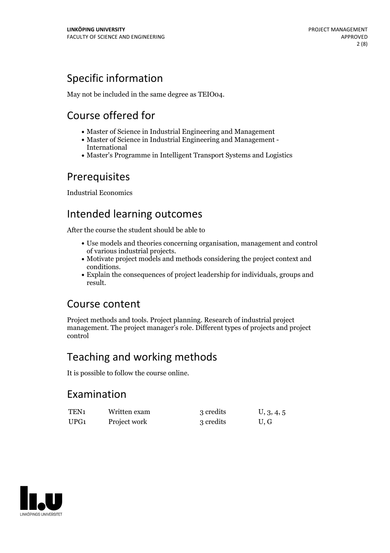# Specific information

May not be included in the same degree as TEIO04.

# Course offered for

- Master of Science in Industrial Engineering and Management
- Master of Science in Industrial Engineering and Management International
- Master's Programme in Intelligent Transport Systems and Logistics

## Prerequisites

Industrial Economics

# Intended learning outcomes

After the course the student should be able to

- Use models and theories concerning organisation, management and control
- Motivate project models and methods considering the project context and
- conditions.<br>• Explain the consequences of project leadership for individuals, groups and result.

## Course content

Project methods and tools. Project planning. Research of industrial project management. The project manager's role. Different types of projects and project control

# Teaching and working methods

It is possible to follow the course online.

## Examination

| TEN <sub>1</sub> | Written exam | 3 credits | U, 3, 4, 5 |
|------------------|--------------|-----------|------------|
| UPG <sub>1</sub> | Project work | 3 credits | U.G        |

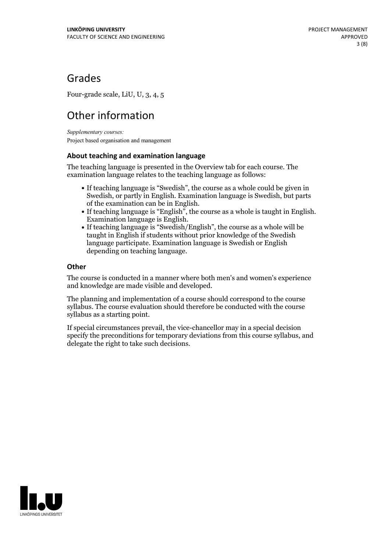## Grades

Four-grade scale, LiU, U, 3, 4, 5

# Other information

*Supplementary courses:* Project based organisation and management

### **About teaching and examination language**

The teaching language is presented in the Overview tab for each course. The examination language relates to the teaching language as follows:

- If teaching language is "Swedish", the course as a whole could be given in Swedish, or partly in English. Examination language is Swedish, but parts
- of the examination can be in English. If teaching language is "English", the course as <sup>a</sup> whole is taught in English. Examination language is English. If teaching language is "Swedish/English", the course as <sup>a</sup> whole will be
- taught in English if students without prior knowledge of the Swedish language participate. Examination language is Swedish or English depending on teaching language.

### **Other**

The course is conducted in a manner where both men's and women's experience and knowledge are made visible and developed.

The planning and implementation of a course should correspond to the course syllabus. The course evaluation should therefore be conducted with the course syllabus as a starting point.

If special circumstances prevail, the vice-chancellor may in a special decision specify the preconditions for temporary deviations from this course syllabus, and delegate the right to take such decisions.

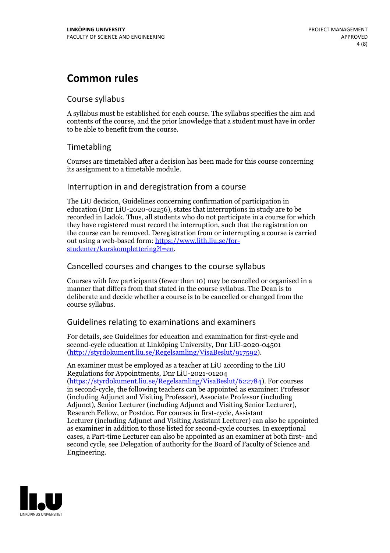## **Common rules**

## Course syllabus

A syllabus must be established for each course. The syllabus specifies the aim and contents of the course, and the prior knowledge that a student must have in order to be able to benefit from the course.

## Timetabling

Courses are timetabled after a decision has been made for this course concerning its assignment to a timetable module.

## Interruption in and deregistration from a course

The LiU decision, Guidelines concerning confirmation of participation in education (Dnr LiU-2020-02256), states that interruptions in study are to be recorded in Ladok. Thus, all students who do not participate in a course for which they have registered must record the interruption, such that the registration on the course can be removed. Deregistration from or interrupting a course is carried out using <sup>a</sup> web-based form: https://www.lith.liu.se/for- [studenter/kurskomplettering?l=en.](https://www.lith.liu.se/for-studenter/kurskomplettering?l=en)

## Cancelled courses and changes to the course syllabus

Courses with few participants (fewer than 10) may be cancelled or organised in a manner that differs from that stated in the course syllabus. The Dean is to deliberate and decide whether a course is to be cancelled or changed from the course syllabus.

## Guidelines relating to examinations and examiners

For details, see Guidelines for education and examination for first-cycle and second-cycle education at Linköping University, Dnr LiU-2020-04501 [\(http://styrdokument.liu.se/Regelsamling/VisaBeslut/917592\)](http://styrdokument.liu.se/Regelsamling/VisaBeslut/917592).

An examiner must be employed as a teacher at LiU according to the LiU Regulations for Appointments, Dnr LiU-2021-01204 [\(https://styrdokument.liu.se/Regelsamling/VisaBeslut/622784](https://styrdokument.liu.se/Regelsamling/VisaBeslut/622784)). For courses in second-cycle, the following teachers can be appointed as examiner: Professor (including Adjunct and Visiting Professor), Associate Professor (including Adjunct), Senior Lecturer (including Adjunct and Visiting Senior Lecturer), Research Fellow, or Postdoc. For courses in first-cycle, Assistant Lecturer (including Adjunct and Visiting Assistant Lecturer) can also be appointed as examiner in addition to those listed for second-cycle courses. In exceptional cases, a Part-time Lecturer can also be appointed as an examiner at both first- and second cycle, see Delegation of authority for the Board of Faculty of Science and Engineering.

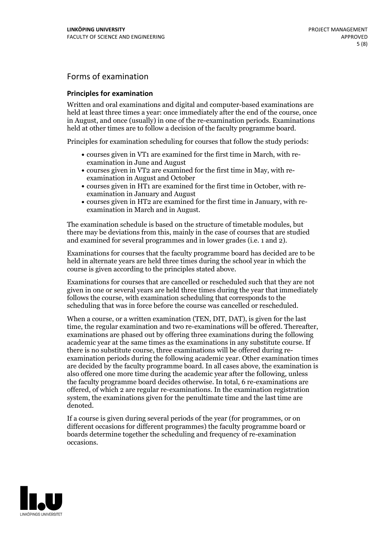## Forms of examination

#### **Principles for examination**

Written and oral examinations and digital and computer-based examinations are held at least three times a year: once immediately after the end of the course, once in August, and once (usually) in one of the re-examination periods. Examinations held at other times are to follow a decision of the faculty programme board.

Principles for examination scheduling for courses that follow the study periods:

- courses given in VT1 are examined for the first time in March, with re-examination in June and August
- courses given in VT2 are examined for the first time in May, with re-examination in August and October
- courses given in HT1 are examined for the first time in October, with re-examination in January and August
- courses given in HT2 are examined for the first time in January, with re-examination in March and in August.

The examination schedule is based on the structure of timetable modules, but there may be deviations from this, mainly in the case of courses that are studied and examined for several programmes and in lower grades (i.e. 1 and 2).

Examinations for courses that the faculty programme board has decided are to be held in alternate years are held three times during the school year in which the course is given according to the principles stated above.

Examinations for courses that are cancelled orrescheduled such that they are not given in one or several years are held three times during the year that immediately follows the course, with examination scheduling that corresponds to the scheduling that was in force before the course was cancelled or rescheduled.

When a course, or a written examination (TEN, DIT, DAT), is given for the last time, the regular examination and two re-examinations will be offered. Thereafter, examinations are phased out by offering three examinations during the following academic year at the same times as the examinations in any substitute course. If there is no substitute course, three examinations will be offered during re- examination periods during the following academic year. Other examination times are decided by the faculty programme board. In all cases above, the examination is also offered one more time during the academic year after the following, unless the faculty programme board decides otherwise. In total, 6 re-examinations are offered, of which 2 are regular re-examinations. In the examination registration system, the examinations given for the penultimate time and the last time are denoted.

If a course is given during several periods of the year (for programmes, or on different occasions for different programmes) the faculty programme board or boards determine together the scheduling and frequency of re-examination occasions.

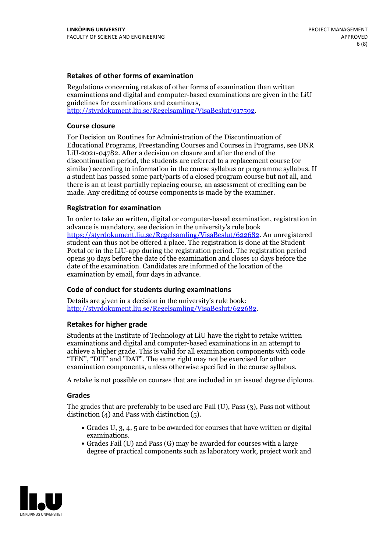### **Retakes of other forms of examination**

Regulations concerning retakes of other forms of examination than written examinations and digital and computer-based examinations are given in the LiU guidelines for examinations and examiners, [http://styrdokument.liu.se/Regelsamling/VisaBeslut/917592.](http://styrdokument.liu.se/Regelsamling/VisaBeslut/917592)

#### **Course closure**

For Decision on Routines for Administration of the Discontinuation of Educational Programs, Freestanding Courses and Courses in Programs, see DNR LiU-2021-04782. After a decision on closure and after the end of the discontinuation period, the students are referred to a replacement course (or similar) according to information in the course syllabus or programme syllabus. If a student has passed some part/parts of a closed program course but not all, and there is an at least partially replacing course, an assessment of crediting can be made. Any crediting of course components is made by the examiner.

#### **Registration for examination**

In order to take an written, digital or computer-based examination, registration in advance is mandatory, see decision in the university's rule book [https://styrdokument.liu.se/Regelsamling/VisaBeslut/622682.](https://styrdokument.liu.se/Regelsamling/VisaBeslut/622682) An unregistered student can thus not be offered a place. The registration is done at the Student Portal or in the LiU-app during the registration period. The registration period opens 30 days before the date of the examination and closes 10 days before the date of the examination. Candidates are informed of the location of the examination by email, four days in advance.

#### **Code of conduct for students during examinations**

Details are given in a decision in the university's rule book: <http://styrdokument.liu.se/Regelsamling/VisaBeslut/622682>.

#### **Retakes for higher grade**

Students at the Institute of Technology at LiU have the right to retake written examinations and digital and computer-based examinations in an attempt to achieve a higher grade. This is valid for all examination components with code "TEN", "DIT" and "DAT". The same right may not be exercised for other examination components, unless otherwise specified in the course syllabus.

A retake is not possible on courses that are included in an issued degree diploma.

#### **Grades**

The grades that are preferably to be used are Fail (U), Pass (3), Pass not without distinction  $(4)$  and Pass with distinction  $(5)$ .

- Grades U, 3, 4, 5 are to be awarded for courses that have written or digital examinations.<br>• Grades Fail (U) and Pass (G) may be awarded for courses with a large
- degree of practical components such as laboratory work, project work and

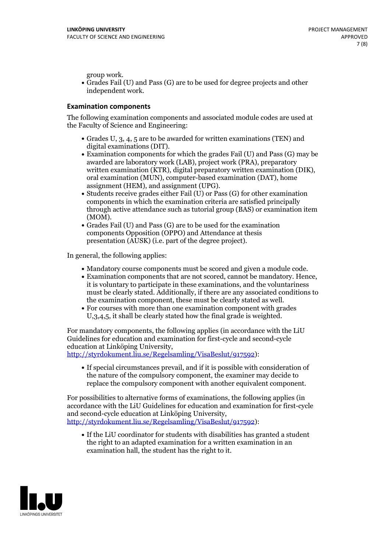group work.<br>• Grades Fail (U) and Pass (G) are to be used for degree projects and other independent work.

### **Examination components**

The following examination components and associated module codes are used at the Faculty of Science and Engineering:

- Grades U, 3, 4, 5 are to be awarded for written examinations (TEN) and
- digital examinations (DIT).<br>• Examination components for which the grades Fail (U) and Pass (G) may be awarded are laboratory work (LAB), project work (PRA), preparatory written examination (KTR), digital preparatory written examination (DIK), oral examination (MUN), computer-based examination (DAT), home
- assignment (HEM), and assignment (UPG).<br>• Students receive grades either Fail (U) or Pass (G) for other examination components in which the examination criteria are satisfied principally through active attendance such as tutorial group (BAS) or examination item
- (MOM).<br>• Grades Fail (U) and Pass (G) are to be used for the examination components Opposition (OPPO) and Attendance at thesis presentation (AUSK) (i.e. part of the degree project).

In general, the following applies:

- 
- Mandatory course components must be scored and given <sup>a</sup> module code. Examination components that are not scored, cannot be mandatory. Hence, it is voluntary to participate in these examinations, and the voluntariness must be clearly stated. Additionally, if there are any associated conditions to
- the examination component, these must be clearly stated as well.<br>• For courses with more than one examination component with grades U,3,4,5, it shall be clearly stated how the final grade is weighted.

For mandatory components, the following applies (in accordance with the LiU Guidelines for education and examination for first-cycle and second-cycle education at Linköping University,<br>[http://styrdokument.liu.se/Regelsamling/VisaBeslut/917592\)](http://styrdokument.liu.se/Regelsamling/VisaBeslut/917592):

If special circumstances prevail, and if it is possible with consideration of the nature of the compulsory component, the examiner may decide to replace the compulsory component with another equivalent component.

For possibilities to alternative forms of examinations, the following applies (in accordance with the LiU Guidelines for education and examination for first-cycle [http://styrdokument.liu.se/Regelsamling/VisaBeslut/917592\)](http://styrdokument.liu.se/Regelsamling/VisaBeslut/917592):

If the LiU coordinator for students with disabilities has granted a student the right to an adapted examination for a written examination in an examination hall, the student has the right to it.